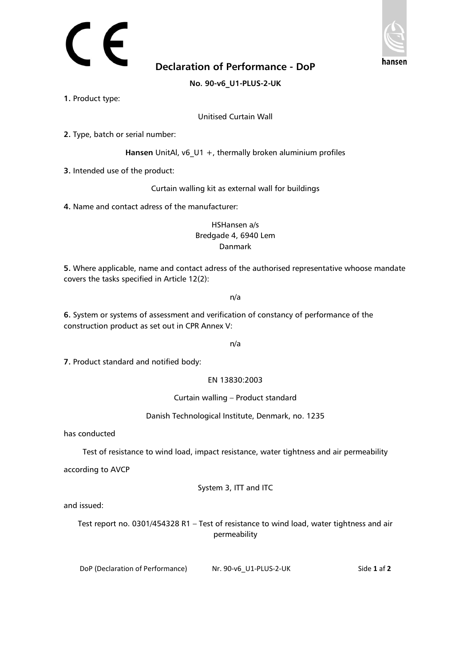

**Declaration of Performance - DoP**

**No. 90-v6\_U1-PLUS-2-UK**

**1.** Product type:

Unitised Curtain Wall

**2.** Type, batch or serial number:

**Hansen** UnitAl, v6\_U1 +, thermally broken aluminium profiles

**3.** Intended use of the product:

Curtain walling kit as external wall for buildings

**4.** Name and contact adress of the manufacturer:

HSHansen a/s Bredgade 4, 6940 Lem Danmark

**5.** Where applicable, name and contact adress of the authorised representative whoose mandate covers the tasks specified in Article 12(2):

n/a

**6.** System or systems of assessment and verification of constancy of performance of the construction product as set out in CPR Annex V:

n/a

**7.** Product standard and notified body:

EN 13830:2003

Curtain walling – Product standard

Danish Technological Institute, Denmark, no. 1235

has conducted

Test of resistance to wind load, impact resistance, water tightness and air permeability

according to AVCP

System 3, ITT and ITC

and issued:

Test report no. 0301/454328 R1 – Test of resistance to wind load, water tightness and air permeability

DoP (Declaration of Performance) Nr. 90-v6\_U1-PLUS-2-UK Side **1** af **2**